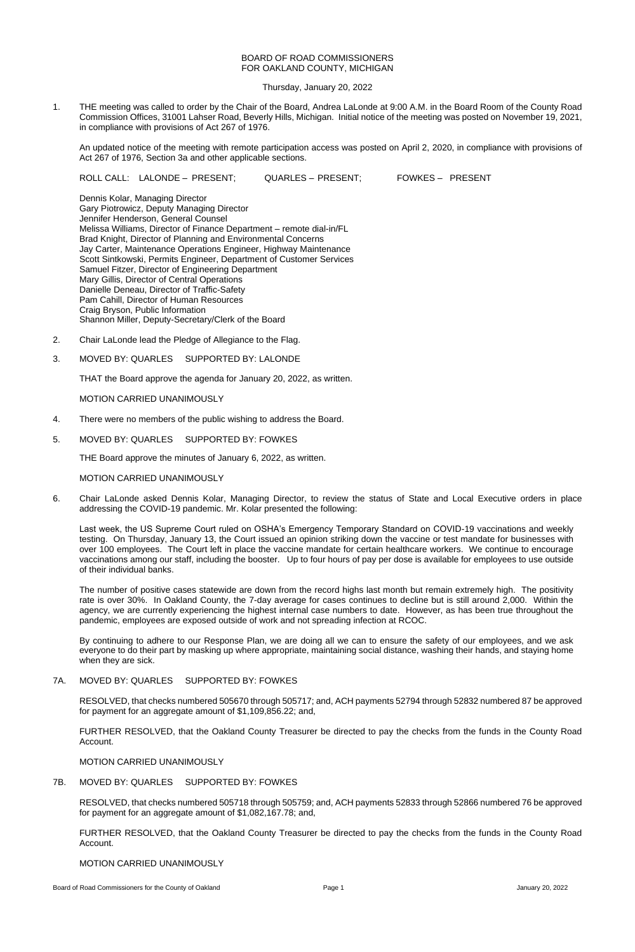# BOARD OF ROAD COMMISSIONERS FOR OAKLAND COUNTY, MICHIGAN

Thursday, January 20, 2022

1. THE meeting was called to order by the Chair of the Board, Andrea LaLonde at 9:00 A.M. in the Board Room of the County Road Commission Offices, 31001 Lahser Road, Beverly Hills, Michigan. Initial notice of the meeting was posted on November 19, 2021, in compliance with provisions of Act 267 of 1976.

An updated notice of the meeting with remote participation access was posted on April 2, 2020, in compliance with provisions of Act 267 of 1976, Section 3a and other applicable sections.

ROLL CALL: LALONDE – PRESENT; QUARLES – PRESENT; FOWKES – PRESENT

Dennis Kolar, Managing Director Gary Piotrowicz, Deputy Managing Director Jennifer Henderson, General Counsel Melissa Williams, Director of Finance Department – remote dial-in/FL Brad Knight, Director of Planning and Environmental Concerns Jay Carter, Maintenance Operations Engineer, Highway Maintenance Scott Sintkowski, Permits Engineer, Department of Customer Services Samuel Fitzer, Director of Engineering Department Mary Gillis, Director of Central Operations Danielle Deneau, Director of Traffic-Safety Pam Cahill, Director of Human Resources Craig Bryson, Public Information Shannon Miller, Deputy-Secretary/Clerk of the Board

- 2. Chair LaLonde lead the Pledge of Allegiance to the Flag.
- 3. MOVED BY: QUARLES SUPPORTED BY: LALONDE

THAT the Board approve the agenda for January 20, 2022, as written.

MOTION CARRIED UNANIMOUSLY

- 4. There were no members of the public wishing to address the Board.
- 5. MOVED BY: QUARLES SUPPORTED BY: FOWKES

THE Board approve the minutes of January 6, 2022, as written.

## MOTION CARRIED UNANIMOUSLY

6. Chair LaLonde asked Dennis Kolar, Managing Director, to review the status of State and Local Executive orders in place addressing the COVID-19 pandemic. Mr. Kolar presented the following:

Last week, the US Supreme Court ruled on OSHA's Emergency Temporary Standard on COVID-19 vaccinations and weekly testing. On Thursday, January 13, the Court issued an opinion striking down the vaccine or test mandate for businesses with over 100 employees. The Court left in place the vaccine mandate for certain healthcare workers. We continue to encourage vaccinations among our staff, including the booster. Up to four hours of pay per dose is available for employees to use outside of their individual banks.

The number of positive cases statewide are down from the record highs last month but remain extremely high. The positivity rate is over 30%. In Oakland County, the 7-day average for cases continues to decline but is still around 2,000. Within the agency, we are currently experiencing the highest internal case numbers to date. However, as has been true throughout the pandemic, employees are exposed outside of work and not spreading infection at RCOC.

By continuing to adhere to our Response Plan, we are doing all we can to ensure the safety of our employees, and we ask everyone to do their part by masking up where appropriate, maintaining social distance, washing their hands, and staying home

when they are sick.

# 7A. MOVED BY: QUARLES SUPPORTED BY: FOWKES

RESOLVED, that checks numbered 505670 through 505717; and, ACH payments 52794 through 52832 numbered 87 be approved for payment for an aggregate amount of \$1,109,856.22; and,

FURTHER RESOLVED, that the Oakland County Treasurer be directed to pay the checks from the funds in the County Road Account.

MOTION CARRIED UNANIMOUSLY

7B. MOVED BY: QUARLES SUPPORTED BY: FOWKES

RESOLVED, that checks numbered 505718 through 505759; and, ACH payments 52833 through 52866 numbered 76 be approved for payment for an aggregate amount of \$1,082,167.78; and,

FURTHER RESOLVED, that the Oakland County Treasurer be directed to pay the checks from the funds in the County Road Account.

MOTION CARRIED UNANIMOUSLY

Board of Road Commissioners for the County of Oakland **Page 1** Page 1 Page 1 January 20, 2022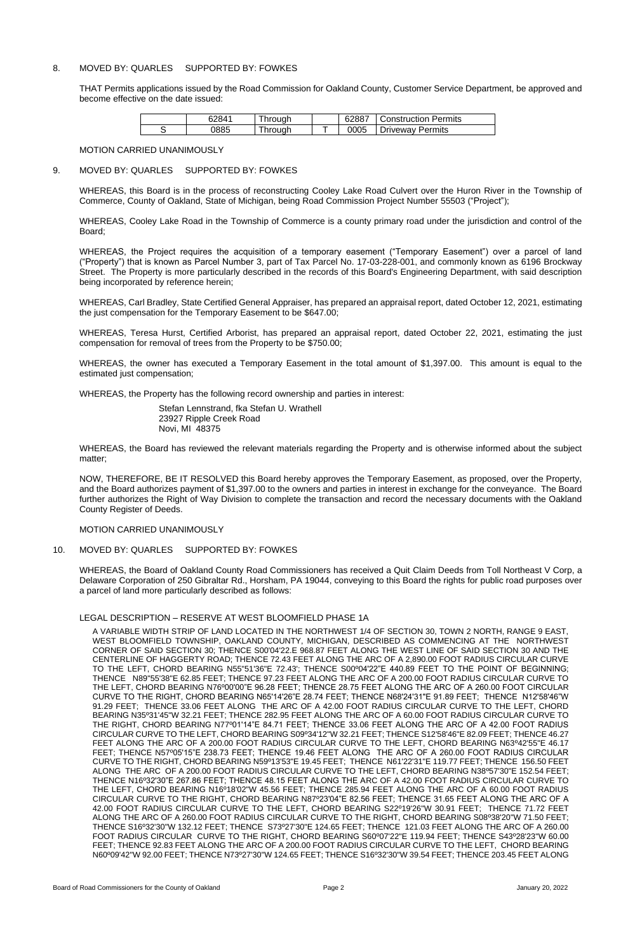# 8. MOVED BY: QUARLES SUPPORTED BY: FOWKES

THAT Permits applications issued by the Road Commission for Oakland County, Customer Service Department, be approved and become effective on the date issued:

| 62841 | hrough              | 62887 | <b>Construction Permits</b> |
|-------|---------------------|-------|-----------------------------|
| 0885  | <sup>-</sup> hrough | 0005  | Driveway Permits            |

### MOTION CARRIED UNANIMOUSLY

# 9. MOVED BY: QUARLES SUPPORTED BY: FOWKES

WHEREAS, this Board is in the process of reconstructing Cooley Lake Road Culvert over the Huron River in the Township of Commerce, County of Oakland, State of Michigan, being Road Commission Project Number 55503 ("Project");

WHEREAS, Cooley Lake Road in the Township of Commerce is a county primary road under the jurisdiction and control of the Board;

WHEREAS, the Project requires the acquisition of a temporary easement ("Temporary Easement") over a parcel of land ("Property") that is known as Parcel Number 3, part of Tax Parcel No. 17-03-228-001, and commonly known as 6196 Brockway Street. The Property is more particularly described in the records of this Board's Engineering Department, with said description being incorporated by reference herein;

WHEREAS, Carl Bradley, State Certified General Appraiser, has prepared an appraisal report, dated October 12, 2021, estimating the just compensation for the Temporary Easement to be \$647.00;

WHEREAS, Teresa Hurst, Certified Arborist, has prepared an appraisal report, dated October 22, 2021, estimating the just compensation for removal of trees from the Property to be \$750.00;

WHEREAS, the owner has executed a Temporary Easement in the total amount of \$1,397.00. This amount is equal to the estimated just compensation;

WHEREAS, the Property has the following record ownership and parties in interest:

Stefan Lennstrand, fka Stefan U. Wrathell 23927 Ripple Creek Road Novi, MI 48375

WHEREAS, the Board has reviewed the relevant materials regarding the Property and is otherwise informed about the subject matter;

NOW, THEREFORE, BE IT RESOLVED this Board hereby approves the Temporary Easement, as proposed, over the Property, and the Board authorizes payment of \$1,397.00 to the owners and parties in interest in exchange for the conveyance. The Board further authorizes the Right of Way Division to complete the transaction and record the necessary documents with the Oakland County Register of Deeds.

MOTION CARRIED UNANIMOUSLY

10. MOVED BY: QUARLES SUPPORTED BY: FOWKES

WHEREAS, the Board of Oakland County Road Commissioners has received a Quit Claim Deeds from Toll Northeast V Corp, a Delaware Corporation of 250 Gibraltar Rd., Horsham, PA 19044, conveying to this Board the rights for public road purposes over a parcel of land more particularly described as follows:

## LEGAL DESCRIPTION – RESERVE AT WEST BLOOMFIELD PHASE 1A

A VARIABLE WIDTH STRIP OF LAND LOCATED IN THE NORTHWEST 1/4 OF SECTION 30, TOWN 2 NORTH, RANGE 9 EAST, WEST BLOOMFIELD TOWNSHIP, OAKLAND COUNTY, MICHIGAN, DESCRIBED AS COMMENCING AT THE NORTHWEST CORNER OF SAID SECTION 30; THENCE S00'04'22.E 968.87 FEET ALONG THE WEST LINE OF SAID SECTION 30 AND THE CENTERLINE OF HAGGERTY ROAD; THENCE 72.43 FEET ALONG THE ARC OF A 2,890.00 FOOT RADIUS CIRCULAR CURVE TO THE LEFT, CHORD BEARING N55"51'36"E 72.43'; THENCE S00º04'22"E 440.89 FEET TO THE POINT OF BEGINNING; THENCE N89"55'38"E 62.85 FEET; THENCE 97.23 FEET ALONG THE ARC OF A 200.00 FOOT RADIUS CIRCULAR CURVE TO THE LEFT, CHORD BEARING N76º00'00"E 96.28 FEET; THENCE 28.75 FEET ALONG THE ARC OF A 260.00 FOOT CIRCULAR CURVE TO THE RIGHT, CHORD BEARING N65'14'26"E 28.74 FEET; THENCE N68'24'31"E 91.89 FEET; THENCE N12'58'46"W 91.29 FEET; THENCE 33.06 FEET ALONG THE ARC OF A 42.00 FOOT RADIUS CIRCULAR CURVE TO THE LEFT, CHORD BEARING N35º31'45"W 32.21 FEET; THENCE 282.95 FEET ALONG THE ARC OF A 60.00 FOOT RADIUS CIRCULAR CURVE TO THE RIGHT, CHORD BEARING N77º01'14"E 84.71 FEET; THENCE 33.06 FEET ALONG THE ARC OF A 42.00 FOOT RADIUS CIRCULAR CURVE TO THE LEFT, CHORD BEARING S09º34'12"W 32.21 FEET; THENCE S12'58'46"E 82.09 FEET; THENCE 46.27 FEET ALONG THE ARC OF A 200.00 FOOT RADIUS CIRCULAR CURVE TO THE LEFT, CHORD BEARING N63º42'55"E 46.17 FEET; THENCE N57º05'15"E 238.73 FEET; THENCE 19.46 FEET ALONG THE ARC OF A 260.00 FOOT RADIUS CIRCULAR CURVE TO THE RIGHT, CHORD BEARING N59º13'53"E 19.45 FEET; THENCE N61'22'31"E 119.77 FEET; THENCE 156.50 FEET ALONG THE ARC OF A 200.00 FOOT RADIUS CIRCULAR CURVE TO THE LEFT, CHORD BEARING N38º57'30"E 152.54 FEET; THENCE N16º32'30"E 267.86 FEET; THENCE 48.15 FEET ALONG THE ARC OF A 42.00 FOOT RADIUS CIRCULAR CURVE TO THE LEFT, CHORD BEARING N16º18'02"W 45.56 FEET; THENCE 285.94 FEET ALONG THE ARC OF A 60.00 FOOT RADIUS CIRCULAR CURVE TO THE RIGHT, CHORD BEARING N87º23'04"E 82.56 FEET; THENCE 31.65 FEET ALONG THE ARC OF A 42.00 FOOT RADIUS CIRCULAR CURVE TO THE LEFT, CHORD BEARING S22º19'26"W 30.91 FEET; THENCE 71.72 FEET ALONG THE ARC OF A 260.00 FOOT RADIUS CIRCULAR CURVE TO THE RIGHT, CHORD BEARING S08º38'20"W 71.50 FEET; THENCE S16º32'30"W 132.12 FEET; THENCE S73º27'30"E 124.65 FEET; THENCE 121.03 FEET ALONG THE ARC OF A 260.00 FOOT RADIUS CIRCULAR CURVE TO THE RIGHT, CHORD BEARING S60º07'22"E 119.94 FEET; THENCE S43º28'23"W 60.00 FEET; THENCE 92.83 FEET ALONG THE ARC OF A 200.00 FOOT RADIUS CIRCULAR CURVE TO THE LEFT, CHORD BEARING N60º09'42"W 92.00 FEET; THENCE N73º27'30"W 124.65 FEET; THENCE S16º32'30"W 39.54 FEET; THENCE 203.45 FEET ALONG

Board of Road Commissioners for the County of Oakland **Page 2** Page 2 January 20, 2022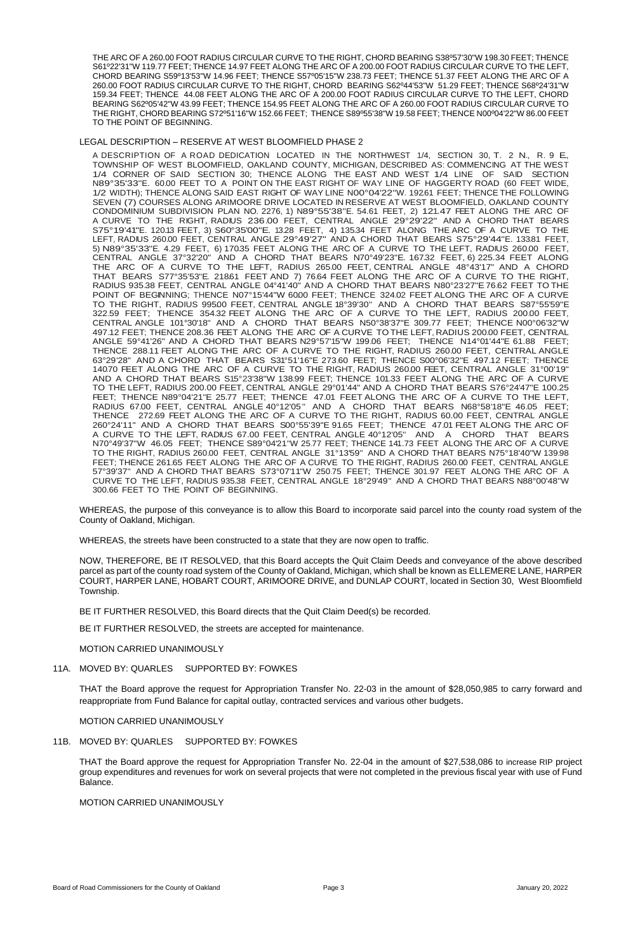THE ARC OF A 260.00 FOOT RADIUS CIRCULAR CURVE TO THE RIGHT, CHORD BEARING S38º57'30"W 198.30 FEET; THENCE S61º22'31"W 119.77 FEET; THENCE 14.97 FEET ALONG THE ARC OF A 200.00 FOOT RADIUS CIRCULAR CURVE TO THE LEFT, CHORD BEARING S59º13'53"W 14.96 FEET; THENCE S57º05'15"W 238.73 FEET; THENCE 51.37 FEET ALONG THE ARC OF A 260.00 FOOT RADIUS CIRCULAR CURVE TO THE RIGHT, CHORD BEARING S62º44'53"W 51.29 FEET; THENCE S68º24'31"W 159.34 FEET; THENCE 44.08 FEET ALONG THE ARC OF A 200.00 FOOT RADIUS CIRCULAR CURVE TO THE LEFT, CHORD BEARING S62º05'42"W 43.99 FEET; THENCE 154.95 FEET ALONG THE ARC OF A 260.00 FOOT RADIUS CIRCULAR CURVE TO THE RIGHT, CHORD BEARING S72º51'16"W 152.66 FEET; THENCE S89º55'38"W 19.58 FEET; THENCE N00º04'22"W 86.00 FEET TO THE POINT OF BEGINNING.

### LEGAL DESCRIPTION – RESERVE AT WEST BLOOMFIELD PHASE 2

A DESCRIPTION OF A ROAD DEDICATION LOCATED IN THE NORTHWEST 1/4, SECTION 30, T. 2 N., R. 9 E., TOWNSHIP OF WEST BLOOMFIELD, OAKLAND COUNTY, MICHIGAN, DESCRIBED AS: COMMENCING AT THE WEST 1/4 CORNER OF SAID SECTION 30; THENCE ALONG THE EAST AND WEST 1/4 LINE OF SAID SECTION N89°35'33"E. 60.00 FEET TO A POINT ON THE EAST RIGHT OF WAY LINE OF HAGGERTY ROAD (60 FEET WIDE, 1/2 WIDTH); THENCE ALONG SAID EAST RIGHT OF WAY LINE N00°04'22"W. 192.61 FEET; THENCE THE FOLLOWING SEVEN (7) COURSES ALONG ARIMOORE DRIVE LOCATED IN RESERVE AT WEST BLOOMFIELD, OAKLAND COUNTY CONDOMINIUM SUBDIVISION PLAN NO. 2276, 1) N89°55'38"E. 54.61 FEET, 2) 121.47 FEET ALONG THE ARC OF A CURVE TO THE RIGHT, RADIUS 236.00 FEET, CENTRAL ANGLE 29°29'22" AND A CHORD THAT BEARS S75°19'41"E. 120.13 FEET, 3) S60°35'00"E. 13.28 FEET, 4) 135.34 FEET ALONG THE ARC OF A CURVE TO THE LEFT, RADIUS 260.00 FEET, CENTRAL ANGLE 29°49'27" AND A CHORD THAT BEARS S75°29'44"E. 133.81 FEET, 5) N89°35'33"E. 4.29 FEET, 6) 170.35 FEET ALONG THE ARC OF A CURVE TO THE LEFT, RADIUS 260.00 FEET, CENTRAL ANGLE 37°32'20" AND A CHORD THAT BEARS N70°49'23"E. 167.32 FEET, 6) 225.34 FEET ALONG THE ARC OF A CURVE TO THE LEFT, RADIUS 265.00 FEET, CENTRAL ANGLE 48°43'17" AND A CHORD THAT BEARS S77°35'53"E. 21861 FEET AND 7) 76.64 FEET ALONG THE ARC OF A CURVE TO THE RIGHT, RADIUS 935.38 FEET, CENTRAL ANGLE 04°41'40" AND A CHORD THAT BEARS N80°23'27"E 76.62 FEET TO THE POINT OF BEGINNING; THENCE N07°15'44"W 6000 FEET; THENCE 324.02 FEET ALONG THE ARC OF A CURVE TO THE RIGHT, RADIUS 995.00 FEET, CENTRAL ANGLE 18°39'30" AND A CHORD THAT BEARS S87°55'59"E 322.59 FEET; THENCE 354.32 FEET ALONG THE ARC OF A CURVE TO THE LEFT, RADIUS 200.00 FEET, CENTRAL ANGLE 101°30'18" AND A CHORD THAT BEARS N50°38'37"E 309.77 FEET; THENCE N00°06'32"W 497.12 FEET; THENCE 208.36 FEET ALONG THE ARC OF A CURVE TO THE LEFT, RADIUS 200.00 FEET, CENTRAL ANGLE 59°41'26" AND A CHORD THAT BEARS N29°57'15"W 199.06 FEET; THENCE N14°01'44"E 61.88 FEET; THENCE 288.11 FEET ALONG THE ARC OF A CURVE TO THE RIGHT, RADIUS 260.00 FEET, CENTRAL ANGLE 63°29'28" AND A CHORD THAT BEARS S31°51'16"E 273.60 FEET; THENCE S00°06'32"E 497.12 FEET; THENCE 140.70 FEET ALONG THE ARC OF A CURVE TO THE RIGHT, RADIUS 260.00 FEET, CENTRAL ANGLE 31°00'19" AND A CHORD THAT BEARS S15°23'38"W 138.99 FEET; THENCE 101.33 FEET ALONG THE ARC OF A CURVE TO THE LEFT, RADIUS 200.00 FEET, CENTRAL ANGLE 29°01'44" AND A CHORD THAT BEARS S76°24'47"E 100.25 FEET; THENCE N89°04'21"E 25.77 FEET; THENCE 47.01 FEET ALONG THE ARC OF A CURVE TO THE LEFT, RADIUS 67.00 FEET, CENTRAL ANGLE 40°12'05 " AND A CHORD THAT BEARS N68°58'18"E 46.05 FEET; THENCE 272.69 FEET ALONG THE ARC OF A CURVE TO THE RIGHT, RADIUS 60.00 FEET, CENTRAL ANGLE 260°24'11" AND A CHORD THAT BEARS S00°55'39"E 91.65 FEET; THENCE 47.01 FEET ALONG THE ARC OF A CURVE TO THE LEFT, RADIUS 67.00 FEET, CENTRAL ANGLE 40°12'05" AND A CHORD THAT BEARS N70°49'37"W 46.05 FEET; THENCE S89°04'21"W 25.77 FEET; THENCE 141.73 FEET ALONG THE ARC OF A CURVE TO THE RIGHT, RADIUS 260.00 FEET, CENTRAL ANGLE 31°13'59" AND A CHORD THAT BEARS N75°18'40"W 139.98 FEET; THENCE 261.65 FEET ALONG THE ARC OF A CURVE TO THE RIGHT, RADIUS 260.00 FEET, CENTRAL ANGLE 57°39'37" AND A CHORD THAT BEARS S73°07'11"W 250.75 FEET; THENCE 301.97 FEET ALONG THE ARC OF A CURVE TO THE LEFT, RADIUS 935.38 FEET, CENTRAL ANGLE 18°29'49" AND A CHORD THAT BEARS N88°00'48"W 300.66 FEET TO THE POINT OF BEGINNING.

WHEREAS, the purpose of this conveyance is to allow this Board to incorporate said parcel into the county road system of the County of Oakland, Michigan.

WHEREAS, the streets have been constructed to a state that they are now open to traffic.

NOW, THEREFORE, BE IT RESOLVED, that this Board accepts the Quit Claim Deeds and conveyance of the above described parcel as part of the county road system of the County of Oakland, Michigan, which shall be known as ELLEMERE LANE, HARPER COURT, HARPER LANE, HOBART COURT, ARIMOORE DRIVE, and DUNLAP COURT, located in Section 30, West Bloomfield Township.

BE IT FURTHER RESOLVED, this Board directs that the Quit Claim Deed(s) be recorded.

BE IT FURTHER RESOLVED, the streets are accepted for maintenance.

MOTION CARRIED UNANIMOUSLY

# 11A. MOVED BY: QUARLES SUPPORTED BY: FOWKES

THAT the Board approve the request for Appropriation Transfer No. 22-03 in the amount of \$28,050,985 to carry forward and reappropriate from Fund Balance for capital outlay, contracted services and various other budgets.

MOTION CARRIED UNANIMOUSLY

# 11B. MOVED BY: QUARLES SUPPORTED BY: FOWKES

THAT the Board approve the request for Appropriation Transfer No. 22-04 in the amount of \$27,538,086 to increase RIP project group expenditures and revenues for work on several projects that were not completed in the previous fiscal year with use of Fund Balance.

# MOTION CARRIED UNANIMOUSLY

Board of Road Commissioners for the County of Oakland **Page 3** Page 3 January 20, 2022 **January 20, 2022**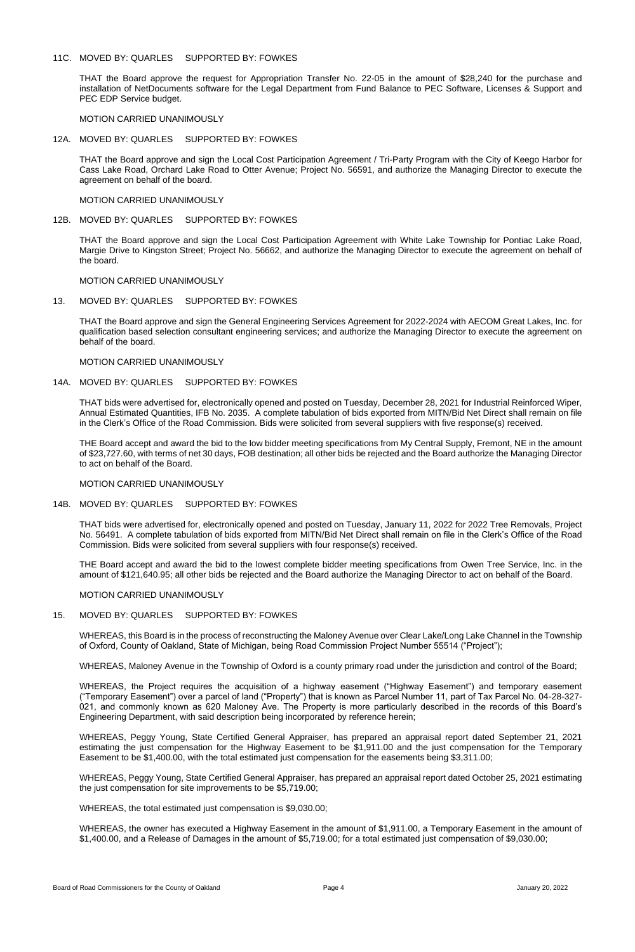## 11C. MOVED BY: QUARLES SUPPORTED BY: FOWKES

THAT the Board approve the request for Appropriation Transfer No. 22-05 in the amount of \$28,240 for the purchase and installation of NetDocuments software for the Legal Department from Fund Balance to PEC Software, Licenses & Support and PEC EDP Service budget.

MOTION CARRIED UNANIMOUSLY

## 12A. MOVED BY: QUARLES SUPPORTED BY: FOWKES

THAT the Board approve and sign the Local Cost Participation Agreement / Tri-Party Program with the City of Keego Harbor for Cass Lake Road, Orchard Lake Road to Otter Avenue; Project No. 56591, and authorize the Managing Director to execute the agreement on behalf of the board.

MOTION CARRIED UNANIMOUSLY

12B. MOVED BY: QUARLES SUPPORTED BY: FOWKES

THAT the Board approve and sign the Local Cost Participation Agreement with White Lake Township for Pontiac Lake Road, Margie Drive to Kingston Street; Project No. 56662, and authorize the Managing Director to execute the agreement on behalf of the board.

MOTION CARRIED UNANIMOUSLY

### 13. MOVED BY: QUARLES SUPPORTED BY: FOWKES

THAT the Board approve and sign the General Engineering Services Agreement for 2022-2024 with AECOM Great Lakes, Inc. for qualification based selection consultant engineering services; and authorize the Managing Director to execute the agreement on behalf of the board.

MOTION CARRIED UNANIMOUSLY

## 14A. MOVED BY: QUARLES SUPPORTED BY: FOWKES

THAT bids were advertised for, electronically opened and posted on Tuesday, December 28, 2021 for Industrial Reinforced Wiper, Annual Estimated Quantities, IFB No. 2035. A complete tabulation of bids exported from MITN/Bid Net Direct shall remain on file in the Clerk's Office of the Road Commission. Bids were solicited from several suppliers with five response(s) received.

THE Board accept and award the bid to the low bidder meeting specifications from My Central Supply, Fremont, NE in the amount of \$23,727.60, with terms of net 30 days, FOB destination; all other bids be rejected and the Board authorize the Managing Director to act on behalf of the Board.

MOTION CARRIED UNANIMOUSLY

## 14B. MOVED BY: QUARLES SUPPORTED BY: FOWKES

THAT bids were advertised for, electronically opened and posted on Tuesday, January 11, 2022 for 2022 Tree Removals, Project No. 56491. A complete tabulation of bids exported from MITN/Bid Net Direct shall remain on file in the Clerk's Office of the Road Commission. Bids were solicited from several suppliers with four response(s) received.

THE Board accept and award the bid to the lowest complete bidder meeting specifications from Owen Tree Service, Inc. in the amount of \$121,640.95; all other bids be rejected and the Board authorize the Managing Director to act on behalf of the Board.

MOTION CARRIED UNANIMOUSLY

# 15. MOVED BY: QUARLES SUPPORTED BY: FOWKES

WHEREAS, this Board is in the process of reconstructing the Maloney Avenue over Clear Lake/Long Lake Channel in the Township of Oxford, County of Oakland, State of Michigan, being Road Commission Project Number 55514 ("Project");

WHEREAS, Maloney Avenue in the Township of Oxford is a county primary road under the jurisdiction and control of the Board;

WHEREAS, the Project requires the acquisition of a highway easement ("Highway Easement") and temporary easement ("Temporary Easement") over a parcel of land ("Property") that is known as Parcel Number 11, part of Tax Parcel No. 04-28-327- 021, and commonly known as 620 Maloney Ave. The Property is more particularly described in the records of this Board's Engineering Department, with said description being incorporated by reference herein;

WHEREAS, Peggy Young, State Certified General Appraiser, has prepared an appraisal report dated September 21, 2021 estimating the just compensation for the Highway Easement to be \$1,911.00 and the just compensation for the Temporary Easement to be \$1,400.00, with the total estimated just compensation for the easements being \$3,311.00;

WHEREAS, Peggy Young, State Certified General Appraiser, has prepared an appraisal report dated October 25, 2021 estimating the just compensation for site improvements to be \$5,719.00;

WHEREAS, the total estimated just compensation is \$9,030.00;

WHEREAS, the owner has executed a Highway Easement in the amount of \$1,911.00, a Temporary Easement in the amount of \$1,400.00, and a Release of Damages in the amount of \$5,719.00; for a total estimated just compensation of \$9,030.00;

Board of Road Commissioners for the County of Oakland **Page 4** Page 4 January 20, 2022